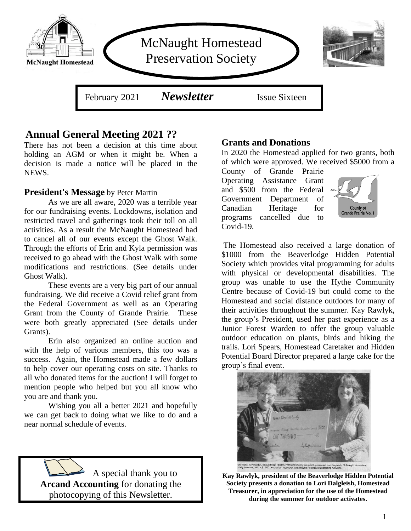

# **Annual General Meeting 2021 ??**

There has not been a decision at this time about holding an AGM or when it might be. When a decision is made a notice will be placed in the NEWS.

#### **President's Message** by Peter Martin

As we are all aware, 2020 was a terrible year for our fundraising events. Lockdowns, isolation and restricted travel and gatherings took their toll on all activities. As a result the McNaught Homestead had to cancel all of our events except the Ghost Walk. Through the efforts of Erin and Kyla permission was received to go ahead with the Ghost Walk with some modifications and restrictions. (See details under Ghost Walk).

These events are a very big part of our annual fundraising. We did receive a Covid relief grant from the Federal Government as well as an Operating Grant from the County of Grande Prairie. These were both greatly appreciated (See details under Grants).

Erin also organized an online auction and with the help of various members, this too was a success. Again, the Homestead made a few dollars to help cover our operating costs on site. Thanks to all who donated items for the auction! I will forget to mention people who helped but you all know who you are and thank you.

Wishing you all a better 2021 and hopefully we can get back to doing what we like to do and a near normal schedule of events.



#### **Grants and Donations**

In 2020 the Homestead applied for two grants, both of which were approved. We received \$5000 from a

County of Grande Prairie Operating Assistance Grant and \$500 from the Federal Government Department of Canadian Heritage for programs cancelled due to Covid-19.



The Homestead also received a large donation of \$1000 from the Beaverlodge Hidden Potential Society which provides vital programming for adults with physical or developmental disabilities. The group was unable to use the Hythe Community Centre because of Covid-19 but could come to the Homestead and social distance outdoors for many of their activities throughout the summer. Kay Rawlyk, the group's President, used her past experience as a Junior Forest Warden to offer the group valuable outdoor education on plants, birds and hiking the trails. Lori Spears, Homestead Caretaker and Hidden Potential Board Director prepared a large cake for the group's final event.



**Kay Rawlyk, president of the Beaverlodge Hidden Potential Society presents a donation to Lori Dalgleish, Homestead Treasurer, in appreciation for the use of the Homestead during the summer for outdoor activates.**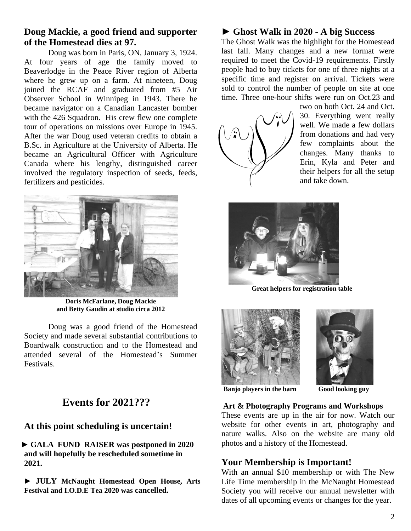## **Doug Mackie, a good friend and supporter of the Homestead dies at 97.**

Doug was born in Paris, ON, January 3, 1924. At four years of age the family moved to Beaverlodge in the Peace River region of Alberta where he grew up on a farm. At nineteen, Doug joined the RCAF and graduated from #5 Air Observer School in Winnipeg in 1943. There he became navigator on a Canadian Lancaster bomber with the 426 Squadron. His crew flew one complete tour of operations on missions over Europe in 1945. After the war Doug used veteran credits to obtain a B.Sc. in Agriculture at the University of Alberta. He became an Agricultural Officer with Agriculture Canada where his lengthy, distinguished career involved the regulatory inspection of seeds, feeds, fertilizers and pesticides.



**Doris McFarlane, Doug Mackie and Betty Gaudin at studio circa 2012**

Doug was a good friend of the Homestead Society and made several substantial contributions to Boardwalk construction and to the Homestead and attended several of the Homestead's Summer Festivals.

# **Events for 2021???**

## **At this point scheduling is uncertain!**

 ► **GALA FUND RAISER was postponed in 2020 and will hopefully be rescheduled sometime in 2021.** 

► **JULY McNaught Homestead Open House, Arts Festival and I.O.D.E Tea 2020 was cancelled.**

## ► **Ghost Walk in 2020** - **A big Success**

The Ghost Walk was the highlight for the Homestead last fall. Many changes and a new format were required to meet the Covid-19 requirements. Firstly people had to buy tickets for one of three nights at a specific time and register on arrival. Tickets were sold to control the number of people on site at one time. Three one-hour shifts were run on Oct.23 and



two on both Oct. 24 and Oct. 30. Everything went really well. We made a few dollars from donations and had very few complaints about the changes. Many thanks to Erin, Kyla and Peter and their helpers for all the setup and take down.



 **Great helpers for registration table**





**Banjo players in the barn Good looking guy**

#### **Art & Photography Programs and Workshops**

 $\overline{\phantom{a}}$ 

These events are up in the air for now. Watch our website for other events in art, photography and nature walks. Also on the website are many old photos and a history of the Homestead.

#### **Your Membership is Important!**

With an annual \$10 membership or with The New Life Time membership in the McNaught Homestead Society you will receive our annual newsletter with dates of all upcoming events or changes for the year.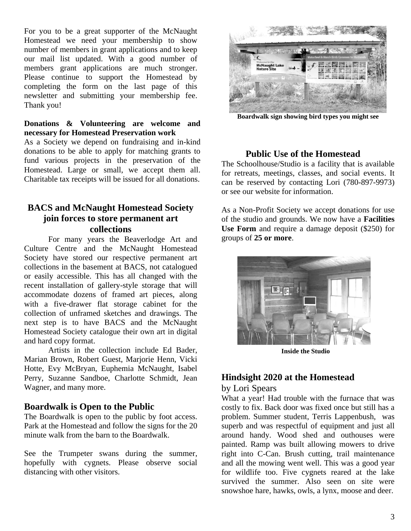For you to be a great supporter of the McNaught Homestead we need your membership to show number of members in grant applications and to keep our mail list updated. With a good number of members grant applications are much stronger. Please continue to support the Homestead by completing the form on the last page of this newsletter and submitting your membership fee. Thank you!

#### **Donations & Volunteering are welcome and necessary for Homestead Preservation work**

As a Society we depend on fundraising and in-kind donations to be able to apply for matching grants to fund various projects in the preservation of the Homestead. Large or small, we accept them all. Charitable tax receipts will be issued for all donations.

## **BACS and McNaught Homestead Society join forces to store permanent art collections**

For many years the Beaverlodge Art and Culture Centre and the McNaught Homestead Society have stored our respective permanent art collections in the basement at BACS, not catalogued or easily accessible. This has all changed with the recent installation of gallery-style storage that will accommodate dozens of framed art pieces, along with a five-drawer flat storage cabinet for the collection of unframed sketches and drawings. The next step is to have BACS and the McNaught Homestead Society catalogue their own art in digital and hard copy format.

Artists in the collection include Ed Bader, Marian Brown, Robert Guest, Marjorie Henn, Vicki Hotte, Evy McBryan, Euphemia McNaught, Isabel Perry, Suzanne Sandboe, Charlotte Schmidt, Jean Wagner, and many more.

## **Boardwalk is Open to the Public**

The Boardwalk is open to the public by foot access. Park at the Homestead and follow the signs for the 20 minute walk from the barn to the Boardwalk.

See the Trumpeter swans during the summer, hopefully with cygnets. Please observe social distancing with other visitors.



**Boardwalk sign showing bird types you might see**

#### **Public Use of the Homestead**

The Schoolhouse/Studio is a facility that is available for retreats, meetings, classes, and social events. It can be reserved by contacting Lori (780-897-9973) or see our website for information.

As a Non-Profit Society we accept donations for use of the studio and grounds. We now have a **Facilities Use Form** and require a damage deposit (\$250) for groups of **25 or more**.



**Inside the Studio**

## **Hindsight 2020 at the Homestead**

#### by Lori Spears

What a year! Had trouble with the furnace that was costly to fix. Back door was fixed once but still has a problem. Summer student, Terris Lappenbush, was superb and was respectful of equipment and just all around handy. Wood shed and outhouses were painted. Ramp was built allowing mowers to drive right into C-Can. Brush cutting, trail maintenance and all the mowing went well. This was a good year for wildlife too. Five cygnets reared at the lake survived the summer. Also seen on site were snowshoe hare, hawks, owls, a lynx, moose and deer.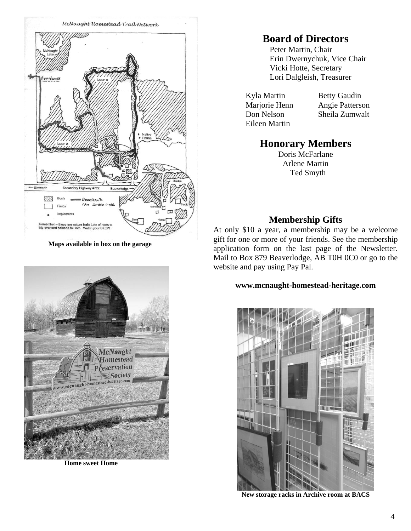

**Maps available in box on the garage**

# **McNaught Homestead** Preservation Society mcnaught-homestead-heritage.

 **Home sweet Home**

# **Board of Directors**

Peter Martin, Chair Erin Dwernychuk, Vice Chair Vicki Hotte, Secretary Lori Dalgleish, Treasurer

Kyla Martin Betty Gaudin Eileen Martin

Marjorie Henn Angie Patterson Don Nelson Sheila Zumwalt

# **Honorary Members**

Doris McFarlane Arlene Martin Ted Smyth

## **Membership Gifts**

At only \$10 a year, a membership may be a welcome gift for one or more of your friends. See the membership application form on the last page of the Newsletter. Mail to Box 879 Beaverlodge, AB T0H 0C0 or go to the website and pay using Pay Pal.

#### **[www.mcnaught-homestead-heritage.com](http://www.mcnaught-homestead-heritage.com/)**



 **New storage racks in Archive room at BACS**